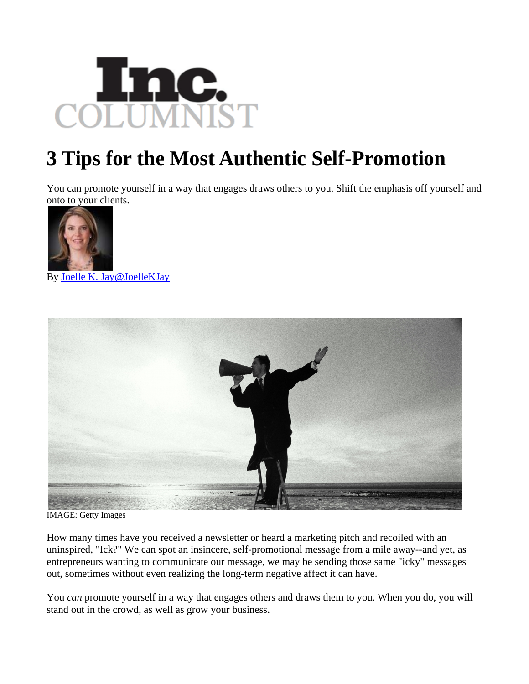

## **3 Tips for the Most Authentic Self-Promotion**

You can promote yourself in a way that engages draws others to you. Shift the emphasis off yourself and onto to your clients.



By [Joelle K. Jay](http://www.inc.com/author/joelle-k-jay)[@JoelleKJay](http://www.twitter.com/JoelleKJay)



IMAGE: Getty Images

How many times have you received a newsletter or heard a marketing pitch and recoiled with an uninspired, "Ick?" We can spot an insincere, self-promotional message from a mile away--and yet, as entrepreneurs wanting to communicate our message, we may be sending those same "icky" messages out, sometimes without even realizing the long-term negative affect it can have.

You *can* promote yourself in a way that engages others and draws them to you. When you do, you will stand out in the crowd, as well as grow your business.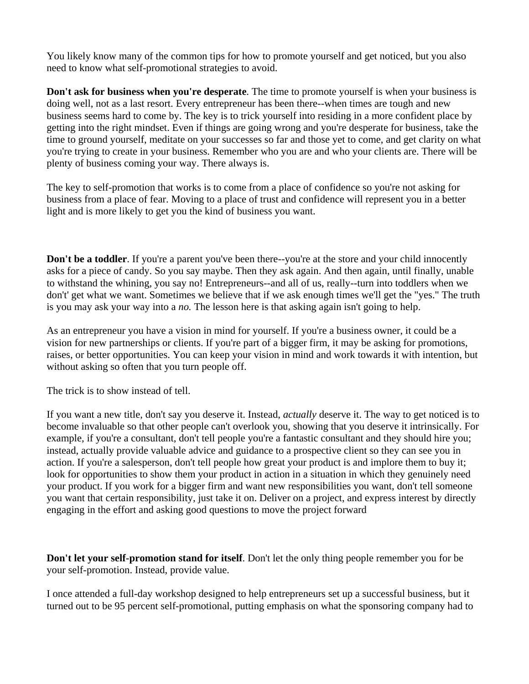You likely know many of the common tips for how to promote yourself and get noticed, but you also need to know what self-promotional strategies to avoid.

**Don't ask for business when you're desperate**. The time to promote yourself is when your business is doing well, not as a last resort. Every entrepreneur has been there--when times are tough and new business seems hard to come by. The key is to trick yourself into residing in a more confident place by getting into the right mindset. Even if things are going wrong and you're desperate for business, take the time to ground yourself, meditate on your successes so far and those yet to come, and get clarity on what you're trying to create in your business. Remember who you are and who your clients are. There will be plenty of business coming your way. There always is.

The key to self-promotion that works is to come from a place of confidence so you're not asking for business from a place of fear. Moving to a place of trust and confidence will represent you in a better light and is more likely to get you the kind of business you want.

**Don't be a toddler**. If you're a parent you've been there--you're at the store and your child innocently asks for a piece of candy. So you say maybe. Then they ask again. And then again, until finally, unable to withstand the whining, you say no! Entrepreneurs--and all of us, really--turn into toddlers when we don't' get what we want. Sometimes we believe that if we ask enough times we'll get the "yes." The truth is you may ask your way into a *no.* The lesson here is that asking again isn't going to help.

As an entrepreneur you have a vision in mind for yourself. If you're a business owner, it could be a vision for new partnerships or clients. If you're part of a bigger firm, it may be asking for promotions, raises, or better opportunities. You can keep your vision in mind and work towards it with intention, but without asking so often that you turn people off.

The trick is to show instead of tell.

If you want a new title, don't say you deserve it. Instead, *actually* deserve it. The way to get noticed is to become invaluable so that other people can't overlook you, showing that you deserve it intrinsically. For example, if you're a consultant, don't tell people you're a fantastic consultant and they should hire you; instead, actually provide valuable advice and guidance to a prospective client so they can see you in action. If you're a salesperson, don't tell people how great your product is and implore them to buy it; look for opportunities to show them your product in action in a situation in which they genuinely need your product. If you work for a bigger firm and want new responsibilities you want, don't tell someone you want that certain responsibility, just take it on. Deliver on a project, and express interest by directly engaging in the effort and asking good questions to move the project forward

**Don't let your self-promotion stand for itself**. Don't let the only thing people remember you for be your self-promotion. Instead, provide value.

I once attended a full-day workshop designed to help entrepreneurs set up a successful business, but it turned out to be 95 percent self-promotional, putting emphasis on what the sponsoring company had to